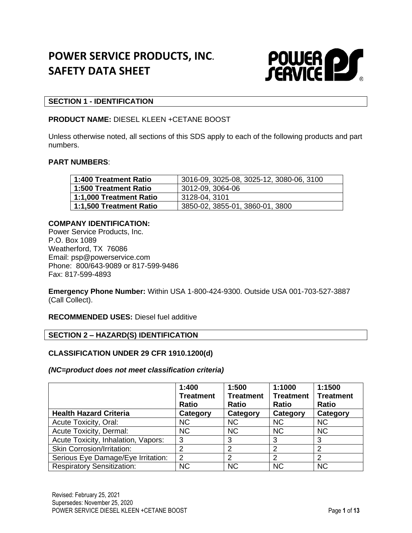# **POWER SERVICE PRODUCTS, INC. SAFETY DATA SHEET**



### **SECTION 1 - IDENTIFICATION**

### **PRODUCT NAME:** DIESEL KLEEN +CETANE BOOST

Unless otherwise noted, all sections of this SDS apply to each of the following products and part numbers.

#### **PART NUMBERS**:

| 1:400 Treatment Ratio   | 3016-09, 3025-08, 3025-12, 3080-06, 3100 |
|-------------------------|------------------------------------------|
| 1:500 Treatment Ratio   | 3012-09, 3064-06                         |
| 1:1,000 Treatment Ratio | 3128-04, 3101                            |
| 1:1,500 Treatment Ratio | 3850-02, 3855-01, 3860-01, 3800          |

### **COMPANY IDENTIFICATION:**

Power Service Products, Inc. P.O. Box 1089 Weatherford, TX 76086 Email: psp@powerservice.com Phone: 800/643-9089 or 817-599-9486 Fax: 817-599-4893

**Emergency Phone Number:** Within USA 1-800-424-9300. Outside USA 001-703-527-3887 (Call Collect).

**RECOMMENDED USES:** Diesel fuel additive

#### **SECTION 2 – HAZARD(S) IDENTIFICATION**

#### **CLASSIFICATION UNDER 29 CFR 1910.1200(d)**

#### *(NC=product does not meet classification criteria)*

|                                     | 1:400<br><b>Treatment</b><br><b>Ratio</b> | 1:500<br><b>Treatment</b><br><b>Ratio</b> | 1:1000<br><b>Treatment</b><br><b>Ratio</b> | 1:1500<br><b>Treatment</b><br><b>Ratio</b> |
|-------------------------------------|-------------------------------------------|-------------------------------------------|--------------------------------------------|--------------------------------------------|
| <b>Health Hazard Criteria</b>       | Category                                  | Category                                  | Category                                   | Category                                   |
| <b>Acute Toxicity, Oral:</b>        | <b>NC</b>                                 | <b>NC</b>                                 | <b>NC</b>                                  | <b>NC</b>                                  |
| Acute Toxicity, Dermal:             | <b>NC</b>                                 | <b>NC</b>                                 | <b>NC</b>                                  | <b>NC</b>                                  |
| Acute Toxicity, Inhalation, Vapors: | 3                                         | 3                                         | 3                                          | 3                                          |
| <b>Skin Corrosion/Irritation:</b>   | 2                                         | ົ                                         | っ                                          | 2                                          |
| Serious Eye Damage/Eye Irritation:  | 2                                         | າ                                         | າ                                          | 2                                          |
| <b>Respiratory Sensitization:</b>   | <b>NC</b>                                 | <b>NC</b>                                 | <b>NC</b>                                  | <b>NC</b>                                  |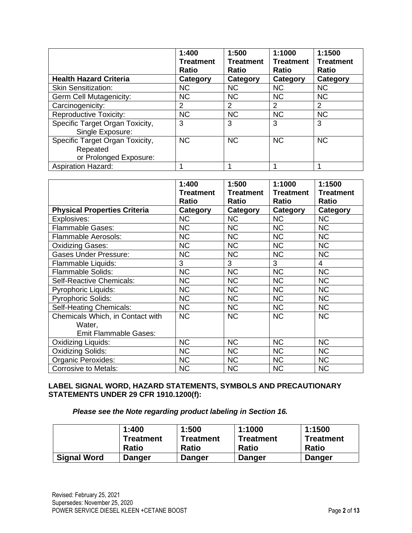|                                 | 1:400<br><b>Treatment</b><br><b>Ratio</b> | 1:500<br><b>Treatment</b><br><b>Ratio</b> | 1:1000<br><b>Treatment</b><br>Ratio | 1:1500<br><b>Treatment</b><br>Ratio |
|---------------------------------|-------------------------------------------|-------------------------------------------|-------------------------------------|-------------------------------------|
| <b>Health Hazard Criteria</b>   | Category                                  | Category                                  | Category                            | Category                            |
| <b>Skin Sensitization:</b>      | <b>NC</b>                                 | <b>NC</b>                                 | <b>NC</b>                           | <b>NC</b>                           |
| Germ Cell Mutagenicity:         | <b>NC</b>                                 | <b>NC</b>                                 | <b>NC</b>                           | <b>NC</b>                           |
| Carcinogenicity:                | $\overline{2}$                            | 2                                         | 2                                   | 2                                   |
| <b>Reproductive Toxicity:</b>   | <b>NC</b>                                 | <b>NC</b>                                 | <b>NC</b>                           | <b>NC</b>                           |
| Specific Target Organ Toxicity, | 3                                         | 3                                         | 3                                   | 3                                   |
| Single Exposure:                |                                           |                                           |                                     |                                     |
| Specific Target Organ Toxicity, | <b>NC</b>                                 | <b>NC</b>                                 | <b>NC</b>                           | <b>NC</b>                           |
| Repeated                        |                                           |                                           |                                     |                                     |
| or Prolonged Exposure:          |                                           |                                           |                                     |                                     |
| <b>Aspiration Hazard:</b>       |                                           |                                           |                                     |                                     |

|                                     | 1:400            | 1:500            | 1:1000           | 1:1500           |
|-------------------------------------|------------------|------------------|------------------|------------------|
|                                     | <b>Treatment</b> | <b>Treatment</b> | <b>Treatment</b> | <b>Treatment</b> |
|                                     | <b>Ratio</b>     | <b>Ratio</b>     | <b>Ratio</b>     | Ratio            |
| <b>Physical Properties Criteria</b> | Category         | Category         | <b>Category</b>  | Category         |
| Explosives:                         | <b>NC</b>        | <b>NC</b>        | <b>NC</b>        | <b>NC</b>        |
| Flammable Gases:                    | <b>NC</b>        | <b>NC</b>        | <b>NC</b>        | <b>NC</b>        |
| <b>Flammable Aerosols:</b>          | <b>NC</b>        | <b>NC</b>        | <b>NC</b>        | <b>NC</b>        |
| <b>Oxidizing Gases:</b>             | <b>NC</b>        | <b>NC</b>        | <b>NC</b>        | <b>NC</b>        |
| <b>Gases Under Pressure:</b>        | <b>NC</b>        | <b>NC</b>        | <b>NC</b>        | <b>NC</b>        |
| Flammable Liquids:                  | 3                | 3                | 3                | $\overline{4}$   |
| <b>Flammable Solids:</b>            | <b>NC</b>        | <b>NC</b>        | <b>NC</b>        | <b>NC</b>        |
| Self-Reactive Chemicals:            | <b>NC</b>        | <b>NC</b>        | <b>NC</b>        | <b>NC</b>        |
| <b>Pyrophoric Liquids:</b>          | <b>NC</b>        | <b>NC</b>        | <b>NC</b>        | <b>NC</b>        |
| <b>Pyrophoric Solids:</b>           | <b>NC</b>        | <b>NC</b>        | <b>NC</b>        | <b>NC</b>        |
| Self-Heating Chemicals:             | <b>NC</b>        | <b>NC</b>        | <b>NC</b>        | <b>NC</b>        |
| Chemicals Which, in Contact with    | <b>NC</b>        | <b>NC</b>        | <b>NC</b>        | <b>NC</b>        |
| Water,                              |                  |                  |                  |                  |
| <b>Emit Flammable Gases:</b>        |                  |                  |                  |                  |
| Oxidizing Liquids:                  | <b>NC</b>        | <b>NC</b>        | <b>NC</b>        | <b>NC</b>        |
| <b>Oxidizing Solids:</b>            | <b>NC</b>        | <b>NC</b>        | <b>NC</b>        | <b>NC</b>        |
| <b>Organic Peroxides:</b>           | <b>NC</b>        | <b>NC</b>        | <b>NC</b>        | <b>NC</b>        |
| <b>Corrosive to Metals:</b>         | <b>NC</b>        | <b>NC</b>        | <b>NC</b>        | <b>NC</b>        |

### **LABEL SIGNAL WORD, HAZARD STATEMENTS, SYMBOLS AND PRECAUTIONARY STATEMENTS UNDER 29 CFR 1910.1200(f):**

*Please see the Note regarding product labeling in Section 16.*

|                    | 1:400         | 1:500        | 1:1000        | 1:1500           |
|--------------------|---------------|--------------|---------------|------------------|
|                    | Treatment     | Treatment    | Treatment     | <b>Treatment</b> |
|                    | <b>Ratio</b>  | <b>Ratio</b> | <b>Ratio</b>  | <b>Ratio</b>     |
| <b>Signal Word</b> | <b>Danger</b> | Danger       | <b>Danger</b> | <b>Danger</b>    |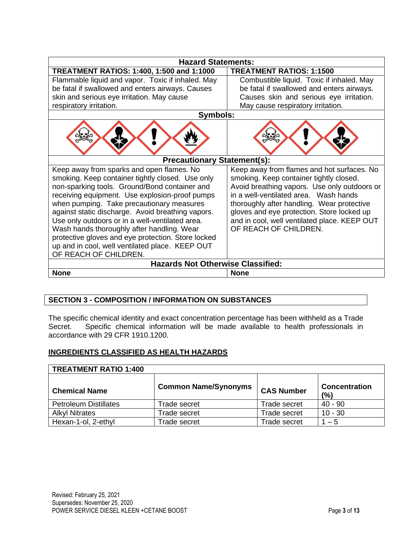| <b>Hazard Statements:</b>                                                                         |                                                                                         |  |  |  |
|---------------------------------------------------------------------------------------------------|-----------------------------------------------------------------------------------------|--|--|--|
| TREATMENT RATIOS: 1:400, 1:500 and 1:1000                                                         | <b>TREATMENT RATIOS: 1:1500</b>                                                         |  |  |  |
| Flammable liquid and vapor. Toxic if inhaled. May                                                 | Combustible liquid. Toxic if inhaled. May                                               |  |  |  |
| be fatal if swallowed and enters airways. Causes                                                  | be fatal if swallowed and enters airways.                                               |  |  |  |
| skin and serious eye irritation. May cause                                                        | Causes skin and serious eye irritation.                                                 |  |  |  |
| respiratory irritation.                                                                           | May cause respiratory irritation.                                                       |  |  |  |
| Symbols:                                                                                          |                                                                                         |  |  |  |
|                                                                                                   |                                                                                         |  |  |  |
| <b>Precautionary Statement(s):</b>                                                                |                                                                                         |  |  |  |
| Keep away from sparks and open flames. No                                                         | Keep away from flames and hot surfaces. No                                              |  |  |  |
| smoking. Keep container tightly closed. Use only<br>non-sparking tools. Ground/Bond container and | smoking. Keep container tightly closed.<br>Avoid breathing vapors. Use only outdoors or |  |  |  |
| receiving equipment. Use explosion-proof pumps                                                    | in a well-ventilated area. Wash hands                                                   |  |  |  |
| when pumping. Take precautionary measures                                                         | thoroughly after handling. Wear protective                                              |  |  |  |
| against static discharge. Avoid breathing vapors.                                                 | gloves and eye protection. Store locked up                                              |  |  |  |
| Use only outdoors or in a well-ventilated area.                                                   | and in cool, well ventilated place. KEEP OUT                                            |  |  |  |
| Wash hands thoroughly after handling. Wear                                                        | OF REACH OF CHILDREN.                                                                   |  |  |  |
| protective gloves and eye protection. Store locked                                                |                                                                                         |  |  |  |
| up and in cool, well ventilated place. KEEP OUT                                                   |                                                                                         |  |  |  |
| OF REACH OF CHILDREN.                                                                             |                                                                                         |  |  |  |
| <b>Hazards Not Otherwise Classified:</b>                                                          |                                                                                         |  |  |  |
| <b>None</b>                                                                                       | <b>None</b>                                                                             |  |  |  |

### **SECTION 3 - COMPOSITION / INFORMATION ON SUBSTANCES**

The specific chemical identity and exact concentration percentage has been withheld as a Trade Secret. Specific chemical information will be made available to health professionals in accordance with 29 CFR 1910.1200.

### **INGREDIENTS CLASSIFIED AS HEALTH HAZARDS**

| <b>TREATMENT RATIO 1:400</b> |                             |                   |                             |  |
|------------------------------|-----------------------------|-------------------|-----------------------------|--|
| <b>Chemical Name</b>         | <b>Common Name/Synonyms</b> | <b>CAS Number</b> | <b>Concentration</b><br>(%) |  |
| <b>Petroleum Distillates</b> | Trade secret                | Trade secret      | $40 - 90$                   |  |
| <b>Alkyl Nitrates</b>        | Trade secret                | Trade secret      | $10 - 30$                   |  |
| Hexan-1-ol, 2-ethyl          | Frade secret                | Trade secret      | $1 - 5$                     |  |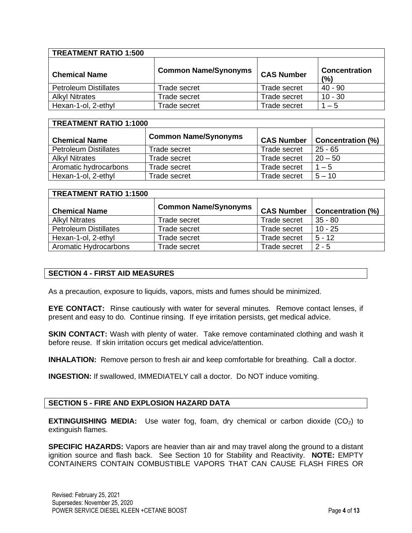| <b>TREATMENT RATIO 1:500</b> |                             |                   |                             |
|------------------------------|-----------------------------|-------------------|-----------------------------|
| <b>Chemical Name</b>         | <b>Common Name/Synonyms</b> | <b>CAS Number</b> | <b>Concentration</b><br>(%) |
| <b>Petroleum Distillates</b> | Trade secret                | Trade secret      | 40 - 90                     |
| <b>Alkyl Nitrates</b>        | Trade secret                | Trade secret      | $10 - 30$                   |
| Hexan-1-ol, 2-ethyl          | Trade secret                | Trade secret      | $1 - 5$                     |

| <b>TREATMENT RATIO 1:1000</b> |                             |                     |                          |  |
|-------------------------------|-----------------------------|---------------------|--------------------------|--|
| <b>Chemical Name</b>          | <b>Common Name/Synonyms</b> | <b>CAS Number</b>   | <b>Concentration (%)</b> |  |
| <b>Petroleum Distillates</b>  | Trade secret                | <b>Trade secret</b> | $25 - 65$                |  |
| <b>Alkyl Nitrates</b>         | Trade secret                | <b>Trade secret</b> | $20 - 50$                |  |
| Aromatic hydrocarbons         | Trade secret                | Trade secret        | $1 - 5$                  |  |
| Hexan-1-ol, 2-ethyl           | Trade secret                | Trade secret        | $5 - 10$                 |  |

| <b>TREATMENT RATIO 1:1500</b> |                             |                   |                          |  |
|-------------------------------|-----------------------------|-------------------|--------------------------|--|
| <b>Chemical Name</b>          | <b>Common Name/Synonyms</b> | <b>CAS Number</b> | <b>Concentration (%)</b> |  |
| <b>Alkyl Nitrates</b>         | Trade secret                | Trade secret      | $35 - 80$                |  |
| <b>Petroleum Distillates</b>  | Trade secret                | Trade secret      | $10 - 25$                |  |
| Hexan-1-ol, 2-ethyl           | Trade secret                | Trade secret      | $5 - 12$                 |  |
| Aromatic Hydrocarbons         | Trade secret                | Trade secret      | $2 - 5$                  |  |

### **SECTION 4 - FIRST AID MEASURES**

As a precaution, exposure to liquids, vapors, mists and fumes should be minimized.

**EYE CONTACT:** Rinse cautiously with water for several minutes. Remove contact lenses, if present and easy to do. Continue rinsing. If eye irritation persists, get medical advice.

**SKIN CONTACT:** Wash with plenty of water. Take remove contaminated clothing and wash it before reuse. If skin irritation occurs get medical advice/attention.

**INHALATION:** Remove person to fresh air and keep comfortable for breathing. Call a doctor.

**INGESTION:** If swallowed, IMMEDIATELY call a doctor. Do NOT induce vomiting.

### **SECTION 5 - FIRE AND EXPLOSION HAZARD DATA**

**EXTINGUISHING MEDIA:** Use water fog, foam, dry chemical or carbon dioxide (CO<sub>2</sub>) to extinguish flames.

**SPECIFIC HAZARDS:** Vapors are heavier than air and may travel along the ground to a distant ignition source and flash back. See Section 10 for Stability and Reactivity. **NOTE:** EMPTY CONTAINERS CONTAIN COMBUSTIBLE VAPORS THAT CAN CAUSE FLASH FIRES OR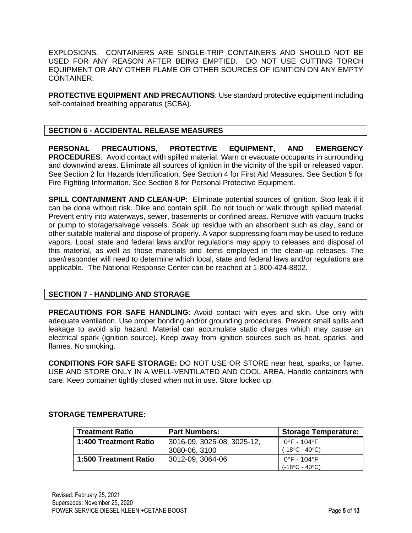EXPLOSIONS. CONTAINERS ARE SINGLE-TRIP CONTAINERS AND SHOULD NOT BE USED FOR ANY REASON AFTER BEING EMPTIED. DO NOT USE CUTTING TORCH EQUIPMENT OR ANY OTHER FLAME OR OTHER SOURCES OF IGNITION ON ANY EMPTY CONTAINER.

**PROTECTIVE EQUIPMENT AND PRECAUTIONS**: Use standard protective equipment including self-contained breathing apparatus (SCBA).

### **SECTION 6 - ACCIDENTAL RELEASE MEASURES**

**PERSONAL PRECAUTIONS, PROTECTIVE EQUIPMENT, AND EMERGENCY PROCEDURES**: Avoid contact with spilled material. Warn or evacuate occupants in surrounding and downwind areas. Eliminate all sources of ignition in the vicinity of the spill or released vapor. See Section 2 for Hazards Identification. See Section 4 for First Aid Measures. See Section 5 for Fire Fighting Information. See Section 8 for Personal Protective Equipment.

**SPILL CONTAINMENT AND CLEAN-UP:** Eliminate potential sources of ignition. Stop leak if it can be done without risk. Dike and contain spill. Do not touch or walk through spilled material. Prevent entry into waterways, sewer, basements or confined areas. Remove with vacuum trucks or pump to storage/salvage vessels. Soak up residue with an absorbent such as clay, sand or other suitable material and dispose of properly. A vapor suppressing foam may be used to reduce vapors. Local, state and federal laws and/or regulations may apply to releases and disposal of this material, as well as those materials and items employed in the clean-up releases. The user/responder will need to determine which local, state and federal laws and/or regulations are applicable. The National Response Center can be reached at 1-800-424-8802.

### **SECTION 7 - HANDLING AND STORAGE**

**PRECAUTIONS FOR SAFE HANDLING**: Avoid contact with eyes and skin. Use only with adequate ventilation. Use proper bonding and/or grounding procedures. Prevent small spills and leakage to avoid slip hazard. Material can accumulate static charges which may cause an electrical spark (ignition source). Keep away from ignition sources such as heat, sparks, and flames. No smoking.

**CONDITIONS FOR SAFE STORAGE:** DO NOT USE OR STORE near heat, sparks, or flame. USE AND STORE ONLY IN A WELL-VENTILATED AND COOL AREA. Handle containers with care. Keep container tightly closed when not in use. Store locked up.

### **STORAGE TEMPERATURE:**

| <b>Treatment Ratio</b> | <b>Part Numbers:</b>       | <b>Storage Temperature:</b>    |
|------------------------|----------------------------|--------------------------------|
| 1:400 Treatment Ratio  | 3016-09, 3025-08, 3025-12, | 0°F - 104°F                    |
|                        | 3080-06, 3100              | $(-18^{\circ}C - 40^{\circ}C)$ |
| 1:500 Treatment Ratio  | 3012-09, 3064-06           | 0°F - 104°F                    |
|                        |                            | (-18°C - 40°C)                 |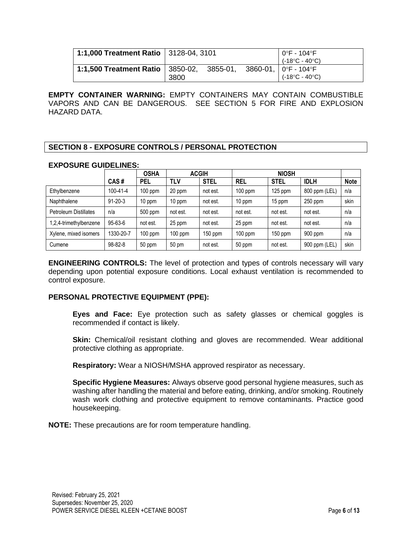| 1:1,000 Treatment Ratio   3128-04, 3101 |                          |          |  | l 0°F - 104°F<br>(-18°C - 40°C)                          |
|-----------------------------------------|--------------------------|----------|--|----------------------------------------------------------|
| 1:1,500 Treatment Ratio                 | $\vert$ 3850-02,<br>3800 | 3855-01, |  | 3860-01,   0°F - 104°F<br>$(-18^{\circ}C - 40^{\circ}C)$ |

**EMPTY CONTAINER WARNING:** EMPTY CONTAINERS MAY CONTAIN COMBUSTIBLE VAPORS AND CAN BE DANGEROUS. SEE SECTION 5 FOR FIRE AND EXPLOSION HAZARD DATA.

### **SECTION 8 - EXPOSURE CONTROLS / PERSONAL PROTECTION**

### **EXPOSURE GUIDELINES:**

|                              |               | <b>OSHA</b> | <b>ACGIH</b> |             | <b>NIOSH</b> |             |               |             |
|------------------------------|---------------|-------------|--------------|-------------|--------------|-------------|---------------|-------------|
|                              | CAS#          | <b>PEL</b>  | <b>TLV</b>   | <b>STEL</b> | <b>REL</b>   | <b>STEL</b> | <b>IDLH</b>   | <b>Note</b> |
| Ethylbenzene                 | 100-41-4      | $100$ ppm   | 20 ppm       | not est.    | $100$ ppm    | $125$ ppm   | 800 ppm (LEL) | n/a         |
| Naphthalene                  | $91 - 20 - 3$ | 10 ppm      | 10 ppm       | not est.    | 10 ppm       | 15 ppm      | $250$ ppm     | skin        |
| <b>Petroleum Distillates</b> | n/a           | 500 ppm     | not est.     | not est.    | not est.     | not est.    | not est.      | n/a         |
| 1,2,4-trimethylbenzene       | 95-63-6       | not est.    | 25 ppm       | not est.    | 25 ppm       | not est.    | not est.      | n/a         |
| Xylene, mixed isomers        | 1330-20-7     | $100$ ppm   | $100$ ppm    | $150$ ppm   | $100$ ppm    | $150$ ppm   | 900 ppm       | n/a         |
| Cumene                       | 98-82-8       | 50 ppm      | 50 pm        | not est.    | 50 ppm       | not est.    | 900 ppm (LEL) | skin        |

**ENGINEERING CONTROLS:** The level of protection and types of controls necessary will vary depending upon potential exposure conditions. Local exhaust ventilation is recommended to control exposure.

### **PERSONAL PROTECTIVE EQUIPMENT (PPE):**

**Eyes and Face:** Eye protection such as safety glasses or chemical goggles is recommended if contact is likely.

**Skin:** Chemical/oil resistant clothing and gloves are recommended. Wear additional protective clothing as appropriate.

**Respiratory:** Wear a NIOSH/MSHA approved respirator as necessary.

**Specific Hygiene Measures:** Always observe good personal hygiene measures, such as washing after handling the material and before eating, drinking, and/or smoking. Routinely wash work clothing and protective equipment to remove contaminants. Practice good housekeeping.

**NOTE:** These precautions are for room temperature handling.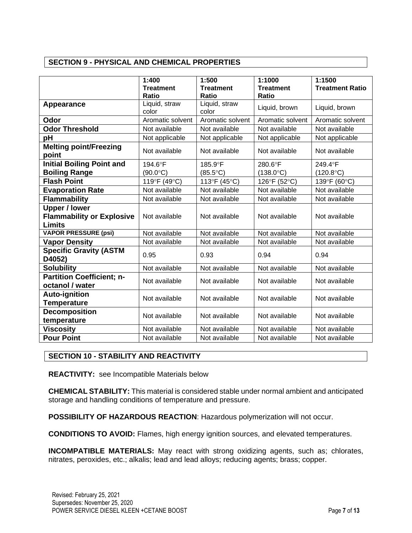### **SECTION 9 - PHYSICAL AND CHEMICAL PROPERTIES**

|                                                          | 1:400             | 1:500             | 1:1000             | 1:1500                 |
|----------------------------------------------------------|-------------------|-------------------|--------------------|------------------------|
|                                                          | <b>Treatment</b>  | <b>Treatment</b>  | <b>Treatment</b>   | <b>Treatment Ratio</b> |
|                                                          | <b>Ratio</b>      | <b>Ratio</b>      | <b>Ratio</b>       |                        |
|                                                          | Liquid, straw     | Liquid, straw     |                    |                        |
| Appearance                                               | color             | color             | Liquid, brown      | Liquid, brown          |
| Odor                                                     | Aromatic solvent  | Aromatic solvent  | Aromatic solvent   | Aromatic solvent       |
|                                                          |                   |                   |                    |                        |
| <b>Odor Threshold</b>                                    | Not available     | Not available     | Not available      | Not available          |
| pH                                                       | Not applicable    | Not applicable    | Not applicable     | Not applicable         |
| <b>Melting point/Freezing</b><br>point                   | Not available     | Not available     | Not available      | Not available          |
| <b>Initial Boiling Point and</b>                         | 194.6°F           | 185.9°F           | 280.6°F            | 249.4°F                |
| <b>Boiling Range</b>                                     | $(90.0^{\circ}C)$ | $(85.5^{\circ}C)$ | $(138.0^{\circ}C)$ | $(120.8^{\circ}C)$     |
| <b>Flash Point</b>                                       | 119°F (49°C)      | 113°F (45°C)      | 126°F (52°C)       | 139°F (60°C)           |
| <b>Evaporation Rate</b>                                  | Not available     | Not available     | Not available      | Not available          |
| <b>Flammability</b>                                      | Not available     | Not available     | Not available      | Not available          |
| <b>Upper / lower</b><br><b>Flammability or Explosive</b> | Not available     | Not available     | Not available      | Not available          |
| <b>Limits</b>                                            |                   |                   |                    |                        |
| <b>VAPOR PRESSURE (psi)</b>                              | Not available     | Not available     | Not available      | Not available          |
| <b>Vapor Density</b>                                     | Not available     | Not available     | Not available      | Not available          |
| <b>Specific Gravity (ASTM</b><br>D4052)                  | 0.95              | 0.93              | 0.94               | 0.94                   |
| <b>Solubility</b>                                        | Not available     | Not available     | Not available      | Not available          |
| <b>Partition Coefficient; n-</b><br>octanol / water      | Not available     | Not available     | Not available      | Not available          |
| <b>Auto-ignition</b><br><b>Temperature</b>               | Not available     | Not available     | Not available      | Not available          |
| <b>Decomposition</b><br>temperature                      | Not available     | Not available     | Not available      | Not available          |
| <b>Viscosity</b>                                         | Not available     | Not available     | Not available      | Not available          |
| <b>Pour Point</b>                                        | Not available     | Not available     | Not available      | Not available          |

### **SECTION 10 - STABILITY AND REACTIVITY**

**REACTIVITY:** see Incompatible Materials below

**CHEMICAL STABILITY:** This material is considered stable under normal ambient and anticipated storage and handling conditions of temperature and pressure.

**POSSIBILITY OF HAZARDOUS REACTION**: Hazardous polymerization will not occur.

**CONDITIONS TO AVOID:** Flames, high energy ignition sources, and elevated temperatures.

**INCOMPATIBLE MATERIALS:** May react with strong oxidizing agents, such as; chlorates, nitrates, peroxides, etc.; alkalis; lead and lead alloys; reducing agents; brass; copper.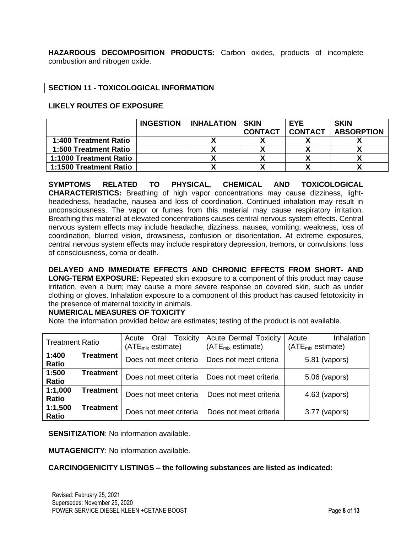**HAZARDOUS DECOMPOSITION PRODUCTS:** Carbon oxides, products of incomplete combustion and nitrogen oxide.

### **SECTION 11 - TOXICOLOGICAL INFORMATION**

### **LIKELY ROUTES OF EXPOSURE**

|                        | <b>INGESTION</b> | <b>INHALATION SKIN</b> |                | <b>EYE</b>     | <b>SKIN</b>       |
|------------------------|------------------|------------------------|----------------|----------------|-------------------|
|                        |                  |                        | <b>CONTACT</b> | <b>CONTACT</b> | <b>ABSORPTION</b> |
| 1:400 Treatment Ratio  |                  |                        |                |                |                   |
| 1:500 Treatment Ratio  |                  |                        |                |                |                   |
| 1:1000 Treatment Ratio |                  |                        |                |                |                   |
| 1:1500 Treatment Ratio |                  |                        |                |                |                   |

**SYMPTOMS RELATED TO PHYSICAL, CHEMICAL AND TOXICOLOGICAL CHARACTERISTICS:** Breathing of high vapor concentrations may cause dizziness, lightheadedness, headache, nausea and loss of coordination. Continued inhalation may result in unconsciousness. The vapor or fumes from this material may cause respiratory irritation. Breathing this material at elevated concentrations causes central nervous system effects. Central nervous system effects may include headache, dizziness, nausea, vomiting, weakness, loss of coordination, blurred vision, drowsiness, confusion or disorientation. At extreme exposures, central nervous system effects may include respiratory depression, tremors, or convulsions, loss of consciousness, coma or death.

**DELAYED AND IMMEDIATE EFFECTS AND CHRONIC EFFECTS FROM SHORT- AND LONG-TERM EXPOSURE:** Repeated skin exposure to a component of this product may cause irritation, even a burn; may cause a more severe response on covered skin, such as under clothing or gloves. Inhalation exposure to a component of this product has caused fetotoxicity in the presence of maternal toxicity in animals.

### **NUMERICAL MEASURES OF TOXICITY**

Note: the information provided below are estimates; testing of the product is not available.

| <b>Treatment Ratio</b>  |           | <b>Toxicity</b><br>Oral<br>Acute<br>(ATE <sub>mix</sub> estimate) | <b>Acute Dermal Toxicity</b><br>(ATE <sub>mix</sub> estimate) | Inhalation<br>Acute<br>(ATE <sub>mix</sub> estimate) |  |
|-------------------------|-----------|-------------------------------------------------------------------|---------------------------------------------------------------|------------------------------------------------------|--|
| 1:400<br>Ratio          | Treatment | Does not meet criteria                                            | Does not meet criteria                                        | 5.81 (vapors)                                        |  |
| 1:500<br><b>Ratio</b>   | Treatment | Does not meet criteria                                            | Does not meet criteria                                        | 5.06 (vapors)                                        |  |
| 1:1,000<br><b>Ratio</b> | Treatment | Does not meet criteria                                            | Does not meet criteria                                        | $4.63$ (vapors)                                      |  |
| 1:1,500<br>Ratio        | Treatment | Does not meet criteria                                            | Does not meet criteria                                        | 3.77 (vapors)                                        |  |

**SENSITIZATION:** No information available.

**MUTAGENICITY**: No information available.

#### **CARCINOGENICITY LISTINGS – the following substances are listed as indicated:**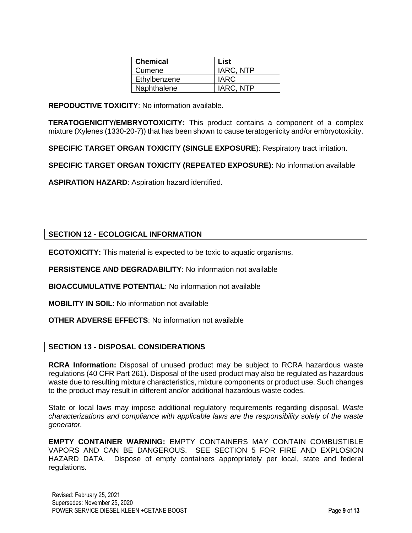| <b>Chemical</b> | List        |
|-----------------|-------------|
| Cumene          | IARC, NTP   |
| Ethylbenzene    | <b>IARC</b> |
| Naphthalene     | IARC, NTP   |

**REPODUCTIVE TOXICITY**: No information available.

**TERATOGENICITY/EMBRYOTOXICITY:** This product contains a component of a complex mixture (Xylenes (1330-20-7)) that has been shown to cause teratogenicity and/or embryotoxicity.

**SPECIFIC TARGET ORGAN TOXICITY (SINGLE EXPOSURE**): Respiratory tract irritation.

**SPECIFIC TARGET ORGAN TOXICITY (REPEATED EXPOSURE):** No information available

**ASPIRATION HAZARD**: Aspiration hazard identified.

### **SECTION 12 - ECOLOGICAL INFORMATION**

**ECOTOXICITY:** This material is expected to be toxic to aquatic organisms.

**PERSISTENCE AND DEGRADABILITY**: No information not available

**BIOACCUMULATIVE POTENTIAL**: No information not available

**MOBILITY IN SOIL**: No information not available

**OTHER ADVERSE EFFECTS**: No information not available

### **SECTION 13 - DISPOSAL CONSIDERATIONS**

**RCRA Information:** Disposal of unused product may be subject to RCRA hazardous waste regulations (40 CFR Part 261). Disposal of the used product may also be regulated as hazardous waste due to resulting mixture characteristics, mixture components or product use. Such changes to the product may result in different and/or additional hazardous waste codes.

State or local laws may impose additional regulatory requirements regarding disposal. *Waste characterizations and compliance with applicable laws are the responsibility solely of the waste generator.*

**EMPTY CONTAINER WARNING:** EMPTY CONTAINERS MAY CONTAIN COMBUSTIBLE VAPORS AND CAN BE DANGEROUS. SEE SECTION 5 FOR FIRE AND EXPLOSION HAZARD DATA. Dispose of empty containers appropriately per local, state and federal regulations.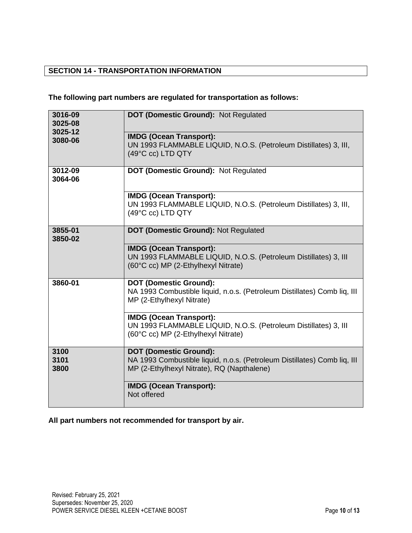# **SECTION 14 - TRANSPORTATION INFORMATION**

# **The following part numbers are regulated for transportation as follows:**

| 3016-09<br>3025-08<br>3025-12 | <b>DOT (Domestic Ground): Not Regulated</b>                                                                                                             |  |  |  |
|-------------------------------|---------------------------------------------------------------------------------------------------------------------------------------------------------|--|--|--|
| 3080-06                       | <b>IMDG (Ocean Transport):</b><br>UN 1993 FLAMMABLE LIQUID, N.O.S. (Petroleum Distillates) 3, III,<br>(49°C cc) LTD QTY                                 |  |  |  |
| 3012-09<br>3064-06            | <b>DOT (Domestic Ground): Not Regulated</b>                                                                                                             |  |  |  |
|                               | <b>IMDG (Ocean Transport):</b><br>UN 1993 FLAMMABLE LIQUID, N.O.S. (Petroleum Distillates) 3, III,<br>(49°C cc) LTD QTY                                 |  |  |  |
| 3855-01<br>3850-02            | <b>DOT (Domestic Ground): Not Regulated</b>                                                                                                             |  |  |  |
|                               | <b>IMDG (Ocean Transport):</b><br>UN 1993 FLAMMABLE LIQUID, N.O.S. (Petroleum Distillates) 3, III<br>(60°C cc) MP (2-Ethylhexyl Nitrate)                |  |  |  |
| 3860-01                       | <b>DOT (Domestic Ground):</b><br>NA 1993 Combustible liquid, n.o.s. (Petroleum Distillates) Comb liq, III<br>MP (2-Ethylhexyl Nitrate)                  |  |  |  |
|                               | <b>IMDG (Ocean Transport):</b><br>UN 1993 FLAMMABLE LIQUID, N.O.S. (Petroleum Distillates) 3, III<br>(60°C cc) MP (2-Ethylhexyl Nitrate)                |  |  |  |
| 3100<br>3101<br>3800          | <b>DOT (Domestic Ground):</b><br>NA 1993 Combustible liquid, n.o.s. (Petroleum Distillates) Comb liq, III<br>MP (2-Ethylhexyl Nitrate), RQ (Napthalene) |  |  |  |
|                               | <b>IMDG (Ocean Transport):</b><br>Not offered                                                                                                           |  |  |  |

**All part numbers not recommended for transport by air.**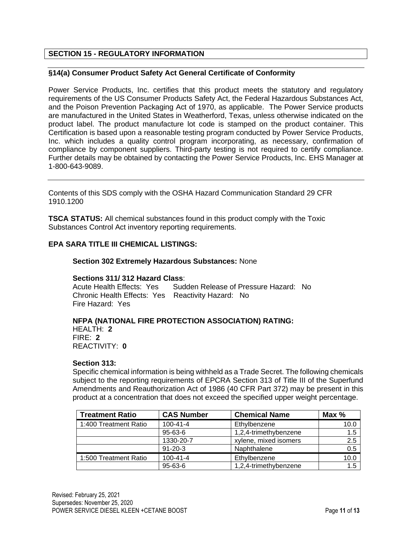### **SECTION 15 - REGULATORY INFORMATION**

#### **§14(a) Consumer Product Safety Act General Certificate of Conformity**

Power Service Products, Inc. certifies that this product meets the statutory and regulatory requirements of the US Consumer Products Safety Act, the Federal Hazardous Substances Act, and the Poison Prevention Packaging Act of 1970, as applicable. The Power Service products are manufactured in the United States in Weatherford, Texas, unless otherwise indicated on the product label. The product manufacture lot code is stamped on the product container. This Certification is based upon a reasonable testing program conducted by Power Service Products, Inc. which includes a quality control program incorporating, as necessary, confirmation of compliance by component suppliers. Third-party testing is not required to certify compliance. Further details may be obtained by contacting the Power Service Products, Inc. EHS Manager at 1-800-643-9089.

Contents of this SDS comply with the OSHA Hazard Communication Standard 29 CFR 1910.1200

**TSCA STATUS:** All chemical substances found in this product comply with the Toxic Substances Control Act inventory reporting requirements.

### **EPA SARA TITLE III CHEMICAL LISTINGS:**

#### **Section 302 Extremely Hazardous Substances:** None

### **Sections 311/ 312 Hazard Class**:

Acute Health Effects: Yes Sudden Release of Pressure Hazard: No Chronic Health Effects: Yes Reactivity Hazard: No Fire Hazard: Yes

#### **NFPA (NATIONAL FIRE PROTECTION ASSOCIATION) RATING:** HEALTH: **2**

FIRE: **2** REACTIVITY: **0** 

#### **Section 313:**

Specific chemical information is being withheld as a Trade Secret. The following chemicals subject to the reporting requirements of EPCRA Section 313 of Title III of the Superfund Amendments and Reauthorization Act of 1986 (40 CFR Part 372) may be present in this product at a concentration that does not exceed the specified upper weight percentage.

| <b>Treatment Ratio</b> | <b>CAS Number</b>              | <b>Chemical Name</b>  | Max $%$ |
|------------------------|--------------------------------|-----------------------|---------|
| 1:400 Treatment Ratio  | $100 - 41 - 4$                 | Ethylbenzene          | 10.0    |
|                        | 95-63-6                        | 1,2,4-trimethybenzene | 1.5     |
|                        | 1330-20-7                      | xylene, mixed isomers | 2.5     |
|                        | $91 - 20 - 3$                  | Naphthalene           | 0.5     |
| 1:500 Treatment Ratio  | $100 - 41 - 4$<br>Ethylbenzene |                       | 10.0    |
|                        | $95 - 63 - 6$                  | 1,2,4-trimethybenzene | 1.5     |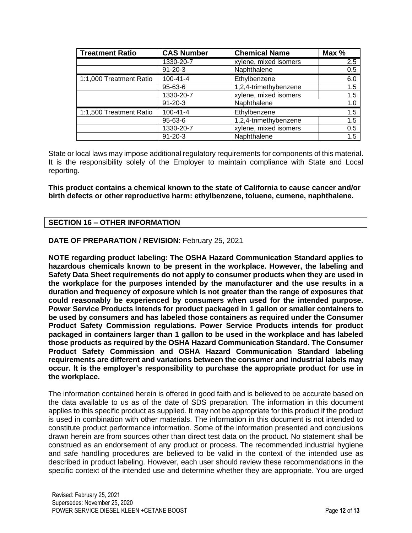| <b>Treatment Ratio</b>  | <b>CAS Number</b> | <b>Chemical Name</b>  |     |
|-------------------------|-------------------|-----------------------|-----|
|                         | 1330-20-7         | xylene, mixed isomers | 2.5 |
|                         | $91 - 20 - 3$     | Naphthalene           | 0.5 |
| 1:1,000 Treatment Ratio | $100 - 41 - 4$    | Ethylbenzene          | 6.0 |
|                         | $95 - 63 - 6$     | 1,2,4-trimethybenzene | 1.5 |
|                         | 1330-20-7         | xylene, mixed isomers | 1.5 |
|                         | $91 - 20 - 3$     | Naphthalene           | 1.0 |
| 1:1,500 Treatment Ratio | $100 - 41 - 4$    | Ethylbenzene          | 1.5 |
|                         | 95-63-6           | 1,2,4-trimethybenzene | 1.5 |
|                         | 1330-20-7         | xylene, mixed isomers | 0.5 |
|                         | $91 - 20 - 3$     | Naphthalene           | 1.5 |

State or local laws may impose additional regulatory requirements for components of this material. It is the responsibility solely of the Employer to maintain compliance with State and Local reporting.

**This product contains a chemical known to the state of California to cause cancer and/or birth defects or other reproductive harm: ethylbenzene, toluene, cumene, naphthalene.**

### **SECTION 16 – OTHER INFORMATION**

### **DATE OF PREPARATION / REVISION**: February 25, 2021

**NOTE regarding product labeling: The OSHA Hazard Communication Standard applies to hazardous chemicals known to be present in the workplace. However, the labeling and Safety Data Sheet requirements do not apply to consumer products when they are used in the workplace for the purposes intended by the manufacturer and the use results in a duration and frequency of exposure which is not greater than the range of exposures that could reasonably be experienced by consumers when used for the intended purpose. Power Service Products intends for product packaged in 1 gallon or smaller containers to be used by consumers and has labeled those containers as required under the Consumer Product Safety Commission regulations. Power Service Products intends for product packaged in containers larger than 1 gallon to be used in the workplace and has labeled those products as required by the OSHA Hazard Communication Standard. The Consumer Product Safety Commission and OSHA Hazard Communication Standard labeling requirements are different and variations between the consumer and industrial labels may occur. It is the employer's responsibility to purchase the appropriate product for use in the workplace.**

The information contained herein is offered in good faith and is believed to be accurate based on the data available to us as of the date of SDS preparation. The information in this document applies to this specific product as supplied. It may not be appropriate for this product if the product is used in combination with other materials. The information in this document is not intended to constitute product performance information. Some of the information presented and conclusions drawn herein are from sources other than direct test data on the product. No statement shall be construed as an endorsement of any product or process. The recommended industrial hygiene and safe handling procedures are believed to be valid in the context of the intended use as described in product labeling. However, each user should review these recommendations in the specific context of the intended use and determine whether they are appropriate. You are urged